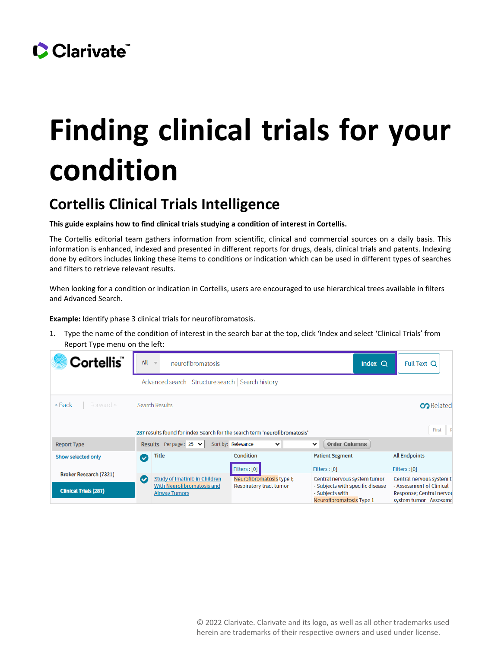

## **Finding clinical trials for your condition**

## **Cortellis Clinical Trials Intelligence**

**This guide explains how to find clinical trials studying a condition of interest in Cortellis.** 

The Cortellis editorial team gathers information from scientific, clinical and commercial sources on a daily basis. This information is enhanced, indexed and presented in different reports for drugs, deals, clinical trials and patents. Indexing done by editors includes linking these items to conditions or indication which can be used in different types of searches and filters to retrieve relevant results.

When looking for a condition or indication in Cortellis, users are encouraged to use hierarchical trees available in filters and Advanced Search.

**Example:** Identify phase 3 clinical trials for neurofibromatosis.

1. Type the name of the condition of interest in the search bar at the top, click 'Index and select 'Clinical Trials' from Report Type menu on the left:

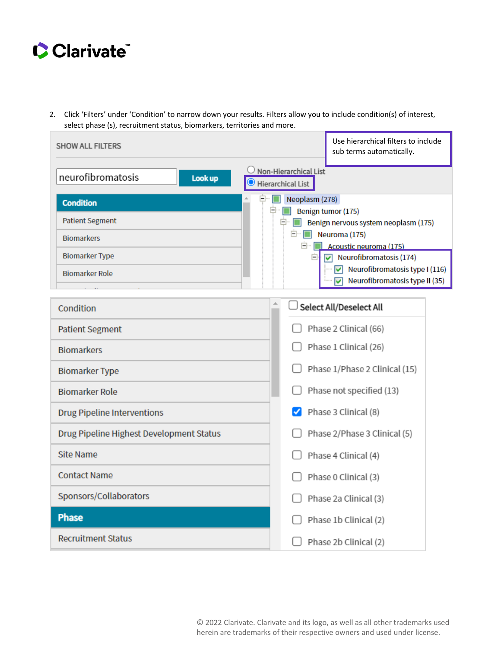

2. Click 'Filters' under 'Condition' to narrow down your results. Filters allow you to include condition(s) of interest, select phase (s), recruitment status, biomarkers, territories and more.

| <b>SHOW ALL FILTERS</b>                  | Use hierarchical filters to include<br>sub terms automatically.                          |  |  |  |  |
|------------------------------------------|------------------------------------------------------------------------------------------|--|--|--|--|
| neurofibromatosis<br>Look up             | Non-Hierarchical List<br><b>Hierarchical List</b>                                        |  |  |  |  |
| <b>Condition</b>                         | $\Box$ Neoplasm (278)                                                                    |  |  |  |  |
| <b>Patient Segment</b>                   | ⊟…<br>Benign tumor (175)<br>Benign nervous system neoplasm (175)<br>$ \blacksquare$      |  |  |  |  |
| <b>Biomarkers</b>                        | $\Box$ Neuroma (175)                                                                     |  |  |  |  |
| <b>Biomarker Type</b>                    | $\Box$ Acoustic neuroma (175)<br>Neurofibromatosis (174)<br>A<br>$\overline{\mathbf{v}}$ |  |  |  |  |
| <b>Biomarker Role</b>                    | Neurofibromatosis type I (116)<br>$\blacktriangledown$                                   |  |  |  |  |
|                                          | Neurofibromatosis type II (35)<br>☑                                                      |  |  |  |  |
| Condition                                | Select All/Deselect All                                                                  |  |  |  |  |
| <b>Patient Segment</b>                   | Phase 2 Clinical (66)                                                                    |  |  |  |  |
| <b>Biomarkers</b>                        | Phase 1 Clinical (26)                                                                    |  |  |  |  |
| <b>Biomarker Type</b>                    | Phase 1/Phase 2 Clinical (15)                                                            |  |  |  |  |
| <b>Biomarker Role</b>                    | Phase not specified (13)                                                                 |  |  |  |  |
| <b>Drug Pipeline Interventions</b>       | Phase 3 Clinical (8)                                                                     |  |  |  |  |
| Drug Pipeline Highest Development Status | Phase 2/Phase 3 Clinical (5)                                                             |  |  |  |  |
| <b>Site Name</b>                         | Phase 4 Clinical (4)                                                                     |  |  |  |  |
| <b>Contact Name</b>                      | Phase 0 Clinical (3)                                                                     |  |  |  |  |
| Sponsors/Collaborators                   | Phase 2a Clinical (3)                                                                    |  |  |  |  |
| <b>Phase</b>                             | Phase 1b Clinical (2)                                                                    |  |  |  |  |
| <b>Recruitment Status</b>                | Phase 2b Clinical (2)                                                                    |  |  |  |  |